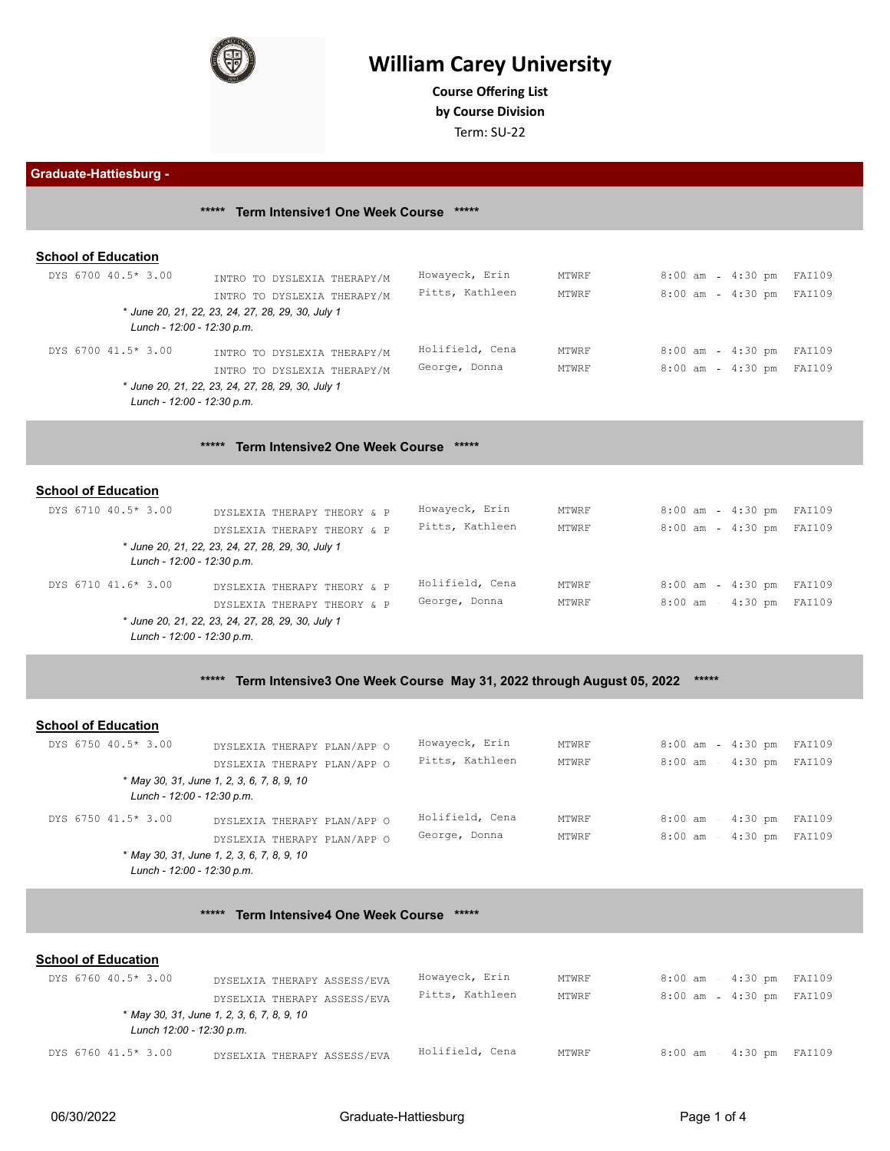

## **William Carey University**

**Course Offering List** 

**by Course Division**

Term: SU-22

**Graduate-Hattiesburg -** 

**\*\*\*\*\* Term Intensive1 One Week Course \*\*\*\*\* School of Education** DYS 6700 40.5\* 3.00 INTRO TO DYSLEXIA THERAPY/M Howayeck, Erin MTWRF 8:00 am 4:30 pm FAI109<br>INTRO TO DYSLEVIA THERAPY/M Pitts, Kathleen MTWRF 8:00 am - 4:30 pm FAI109 INTRO TO DYSLEXIA THERAPY/M Pitts, Kathleen MTWRF 8:00 am - 4:30 pm FAI109 \* *June 20, 21, 22, 23, 24, 27, 28, 29, 30, July 1 Lunch - 12:00 - 12:30 p.m.* DYS 6700 41.5\* 3.00 INTRO TO DYSLEXIA THERAPY/M Holifield, Cena MTWRF 8:00 am - 4:30 pm FAI109 INTRO TO DYSLEXIA THERAPY/M George, Donna MTWRF 8:00 am 4:30 pm FAI109 \* *June 20, 21, 22, 23, 24, 27, 28, 29, 30, July 1 Lunch - 12:00 - 12:30 p.m.* **\*\*\*\*\* Term Intensive2 One Week Course \*\*\*\*\* School of Education** DYS 6710 40.5\* 3.00 DYSLEXIA THERAPY THEORY & P Howayeck, Erin MTWRF 8:00 am - 4:30 pm FAI109<br>pretevia Therapy Theory & p Pitts, Kathleen MTWRF 8:00 am 4:30 pm FAI109 DYSLEXIA THERAPY THEORY & P Pitts, Kathleen MTWRF \* *June 20, 21, 22, 23, 24, 27, 28, 29, 30, July 1 Lunch - 12:00 - 12:30 p.m.* DYS 6710 41.6\* 3.00 DYSLEXIA THERAPY THEORY & P Holifield, Cena MTWRF 8:00 am - 4:30 pm FAI109 DYSLEXIA THERAPY THEORY & P George, Donna MTWRF 8:00 am 4:30 pm FAI109 \* *June 20, 21, 22, 23, 24, 27, 28, 29, 30, July 1*

*Lunch - 12:00 - 12:30 p.m.*

**\*\*\*\*\* Term Intensive3 One Week Course May 31, 2022 through August 05, 2022 \*\*\*\*\***

#### **School of Education**

| DYS 6750 40.5* 3.00        | DYSLEXIA THERAPY PLAN/APP O                | Howayeck, Erin  | MTWRF | $8:00$ am | 4:30 pm FAI109           |        |
|----------------------------|--------------------------------------------|-----------------|-------|-----------|--------------------------|--------|
|                            | DYSLEXIA THERAPY PLAN/APP O                | Pitts, Kathleen | MTWRF | $8:00$ am | $4:30$ pm                | FAI109 |
| Lunch - 12:00 - 12:30 p.m. | * May 30, 31, June 1, 2, 3, 6, 7, 8, 9, 10 |                 |       |           |                          |        |
| DYS 6750 41.5* 3.00        | DYSLEXIA THERAPY PLAN/APP O                | Holifield, Cena | MTWRF | $8:00$ am | $4:30$ pm                | FAI109 |
|                            | DYSLEXIA THERAPY PLAN/APP O                | George, Donna   | MTWRF |           | 8:00 am - 4:30 pm FAI109 |        |
|                            | * May 30, 31, June 1, 2, 3, 6, 7, 8, 9, 10 |                 |       |           |                          |        |
| Lunch - 12:00 - 12:30 p.m. |                                            |                 |       |           |                          |        |

#### **\*\*\*\*\* Term Intensive4 One Week Course \*\*\*\*\***

#### **School of Education**

| DYS 6760 40.5* 3.00      | DYSELXIA THERAPY ASSESS/EVA                | Howayeck, Erin  | MTWRF | 8:00 am                  | 4:30 pm FAI109 |  |
|--------------------------|--------------------------------------------|-----------------|-------|--------------------------|----------------|--|
|                          | DYSELXIA THERAPY ASSESS/EVA                | Pitts, Kathleen | MTWRF | 8:00 am - 4:30 pm FAI109 |                |  |
| Lunch 12:00 - 12:30 p.m. | * May 30, 31, June 1, 2, 3, 6, 7, 8, 9, 10 |                 |       |                          |                |  |
| DYS 6760 41.5* 3.00      | DYSELXIA THERAPY ASSESS/EVA                | Holifield, Cena | MTWRF | 8:00 am                  | 4:30 pm FAI109 |  |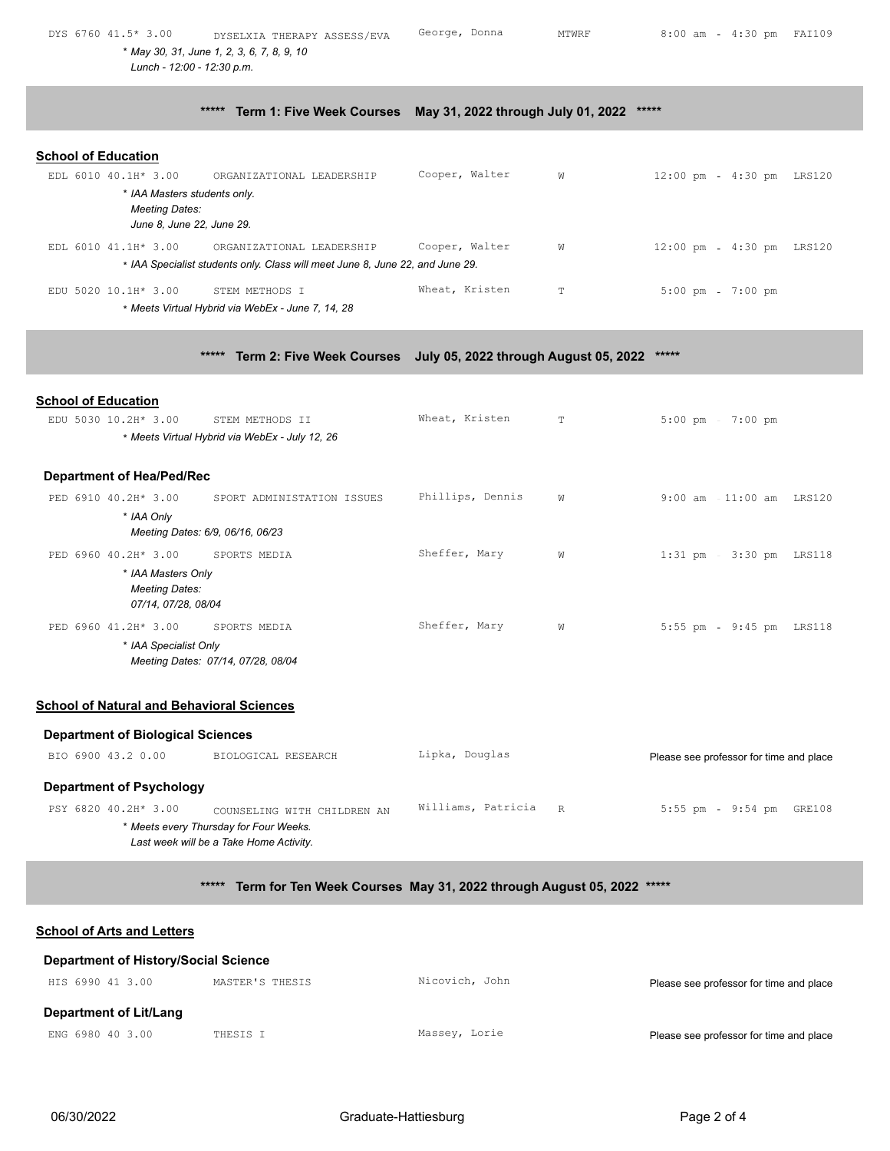| DYS 6760 41.5* 3.00        | DYSELXIA THERAPY ASSESS/EVA                                                   | George, Donna  | MTWRF       | $8:00$ am                 | 4:30 pm FAI109 |  |
|----------------------------|-------------------------------------------------------------------------------|----------------|-------------|---------------------------|----------------|--|
|                            | * May 30, 31, June 1, 2, 3, 6, 7, 8, 9, 10                                    |                |             |                           |                |  |
|                            | Lunch - 12:00 - 12:30 p.m.                                                    |                |             |                           |                |  |
|                            |                                                                               |                |             |                           |                |  |
|                            | ***** Term 1: Five Week Courses May 31, 2022 through July 01, 2022            |                |             | *****                     |                |  |
|                            |                                                                               |                |             |                           |                |  |
| <b>School of Education</b> |                                                                               |                |             |                           |                |  |
| EDL 6010 40.1H* 3.00       | ORGANIZATIONAL LEADERSHIP                                                     | Cooper, Walter | W           | 12:00 pm - 4:30 pm LRS120 |                |  |
|                            | * IAA Masters students only.                                                  |                |             |                           |                |  |
| <b>Meeting Dates:</b>      |                                                                               |                |             |                           |                |  |
|                            | June 8, June 22, June 29.                                                     |                |             |                           |                |  |
| EDL 6010 41.1H* 3.00       | ORGANIZATIONAL LEADERSHIP                                                     | Cooper, Walter | W           | 12:00 pm - 4:30 pm LRS120 |                |  |
|                            | * IAA Specialist students only. Class will meet June 8, June 22, and June 29. |                |             |                           |                |  |
| EDU 5020 10.1H* 3.00       | STEM METHODS I                                                                | Wheat, Kristen | $\mathbb T$ | $5:00$ pm                 | $7:00$ pm      |  |
|                            | * Meets Virtual Hybrid via WebEx - June 7, 14, 28                             |                |             |                           |                |  |
|                            |                                                                               |                |             |                           |                |  |

**\*\*\*\*\* Term 2: Five Week Courses July 05, 2022 through August 05, 2022 \*\*\*\*\***

| <b>School of Education</b>                                         |                                                                                   |                    |    |                                         |
|--------------------------------------------------------------------|-----------------------------------------------------------------------------------|--------------------|----|-----------------------------------------|
| EDU 5030 10.2H* 3.00                                               | STEM METHODS II<br>* Meets Virtual Hybrid via WebEx - July 12, 26                 | Wheat, Kristen     | T. | $5:00$ pm<br>$7:00$ pm                  |
|                                                                    |                                                                                   |                    |    |                                         |
| <b>Department of Hea/Ped/Rec</b>                                   |                                                                                   |                    |    |                                         |
| PED 6910 40.2H* 3.00                                               | SPORT ADMINISTATION ISSUES                                                        | Phillips, Dennis   | W  | 9:00 am - 11:00 am LRS120               |
| * IAA Only                                                         | Meeting Dates: 6/9, 06/16, 06/23                                                  |                    |    |                                         |
| PED 6960 40.2H* 3.00                                               | SPORTS MEDIA                                                                      | Sheffer, Mary      | W  | $1:31$ pm<br>3:30 pm LRS118             |
| * IAA Masters Only<br><b>Meeting Dates:</b><br>07/14, 07/28, 08/04 |                                                                                   |                    |    |                                         |
| PED 6960 41.2H* 3.00                                               | SPORTS MEDIA                                                                      | Sheffer, Mary      | W  | $5:55$ pm<br>9:45 pm LRS118             |
| * IAA Specialist Only                                              | Meeting Dates: 07/14, 07/28, 08/04                                                |                    |    |                                         |
|                                                                    |                                                                                   |                    |    |                                         |
| <b>School of Natural and Behavioral Sciences</b>                   |                                                                                   |                    |    |                                         |
| <b>Department of Biological Sciences</b>                           |                                                                                   |                    |    |                                         |
| BIO 6900 43.2 0.00                                                 | BIOLOGICAL RESEARCH                                                               | Lipka, Douglas     |    | Please see professor for time and place |
| <b>Department of Psychology</b>                                    |                                                                                   |                    |    |                                         |
| PSY 6820 40.2H* 3.00                                               | COUNSELING WITH CHILDREN AN                                                       | Williams, Patricia | R  | $5:55$ pm<br>$9:54$ pm<br>GRE108        |
|                                                                    | * Meets every Thursday for Four Weeks.<br>Last week will be a Take Home Activity. |                    |    |                                         |

**\*\*\*\*\* Term for Ten Week Courses May 31, 2022 through August 05, 2022 \*\*\*\*\***

# **School of Arts and Letters Department of History/Social Science** HIS 6990 41 3.00 MASTER'S THESIS Nicovich, John Please see professor for time and place **Department of Lit/Lang** ENG 6980 40 3.00 THESIS I Massey, Lorie Please see professor for time and place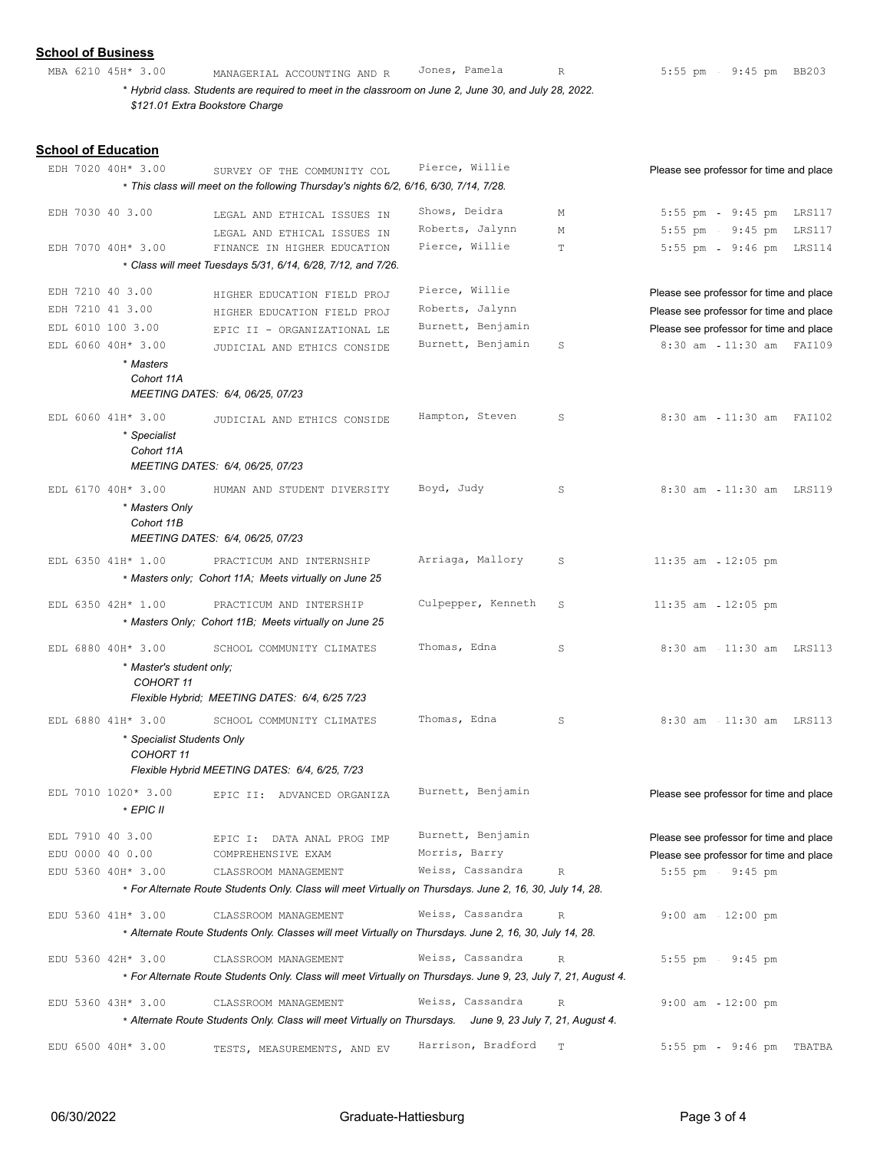### **School of Business**

MBA 6210 45H\* 3.00 MANAGERIAL ACCOUNTING AND R Jones, Pamela R 5:55 pm - 9:45 pm BB203 \* *Hybrid class. Students are required to meet in the classroom on June 2, June 30, and July 28, 2022.* 

*\$121.01 Extra Bookstore Charge*

## **School of Education**

|                  | EDH 7020 40H* 3.00                             | SURVEY OF THE COMMUNITY COL                                                                                    | Pierce, Willie                    |             | Please see professor for time and place                      |
|------------------|------------------------------------------------|----------------------------------------------------------------------------------------------------------------|-----------------------------------|-------------|--------------------------------------------------------------|
|                  |                                                | * This class will meet on the following Thursday's nights 6/2, 6/16, 6/30, 7/14, 7/28.                         |                                   |             |                                                              |
| EDH 7030 40 3.00 |                                                | LEGAL AND ETHICAL ISSUES IN                                                                                    | Shows, Deidra                     | М           | 5:55 pm - 9:45 pm LRS117                                     |
|                  |                                                | LEGAL AND ETHICAL ISSUES IN                                                                                    | Roberts, Jalynn                   | М           | 5:55 pm - 9:45 pm LRS117                                     |
|                  | EDH 7070 40H* 3.00                             | FINANCE IN HIGHER EDUCATION                                                                                    | Pierce, Willie                    | $\mathbb T$ | $5:55$ pm<br>9:46 pm LRS114                                  |
|                  |                                                | * Class will meet Tuesdays 5/31, 6/14, 6/28, 7/12, and 7/26.                                                   |                                   |             |                                                              |
| EDH 7210 40 3.00 |                                                | HIGHER EDUCATION FIELD PROJ                                                                                    | Pierce, Willie                    |             | Please see professor for time and place                      |
| EDH 7210 41 3.00 |                                                | HIGHER EDUCATION FIELD PROJ                                                                                    | Roberts, Jalynn                   |             | Please see professor for time and place                      |
|                  | EDL 6010 100 3.00                              | EPIC II - ORGANIZATIONAL LE                                                                                    | Burnett, Benjamin                 |             | Please see professor for time and place                      |
|                  | EDL 6060 40H* 3.00                             | JUDICIAL AND ETHICS CONSIDE                                                                                    | Burnett, Benjamin                 | S           | 8:30 am 11:30 am FAI109                                      |
|                  | * Masters                                      |                                                                                                                |                                   |             |                                                              |
|                  | Cohort 11A                                     |                                                                                                                |                                   |             |                                                              |
|                  |                                                | MEETING DATES: 6/4, 06/25, 07/23                                                                               |                                   |             |                                                              |
|                  | EDL 6060 41H* 3.00                             | JUDICIAL AND ETHICS CONSIDE                                                                                    | Hampton, Steven                   | S           | $8:30$ am<br>11:30 am FAI102                                 |
|                  | * Specialist<br>Cohort 11A                     |                                                                                                                |                                   |             |                                                              |
|                  |                                                | MEETING DATES: 6/4, 06/25, 07/23                                                                               |                                   |             |                                                              |
|                  | EDL 6170 40H* 3.00                             | HUMAN AND STUDENT DIVERSITY                                                                                    | Boyd, Judy                        | S           | 8:30 am - 11:30 am LRS119                                    |
|                  | * Masters Only<br>Cohort 11B                   |                                                                                                                |                                   |             |                                                              |
|                  |                                                | MEETING DATES: 6/4, 06/25, 07/23                                                                               |                                   |             |                                                              |
|                  | EDL 6350 41H* 1.00                             | PRACTICUM AND INTERNSHIP                                                                                       | Arriaga, Mallory                  | S           | $11:35$ am $-12:05$ pm                                       |
|                  |                                                | * Masters only; Cohort 11A; Meets virtually on June 25                                                         |                                   |             |                                                              |
|                  | EDL 6350 42H* 1.00                             | PRACTICUM AND INTERSHIP                                                                                        | Culpepper, Kenneth                | S           | $11:35$ am $-12:05$ pm                                       |
|                  |                                                | * Masters Only; Cohort 11B; Meets virtually on June 25                                                         |                                   |             |                                                              |
|                  |                                                |                                                                                                                | Thomas, Edna                      |             |                                                              |
|                  | EDL 6880 40H* 3.00<br>* Master's student only; | SCHOOL COMMUNITY CLIMATES                                                                                      |                                   | S           | $8:30$ am<br>11:30 am LRS113                                 |
|                  | COHORT 11                                      |                                                                                                                |                                   |             |                                                              |
|                  |                                                | Flexible Hybrid; MEETING DATES: 6/4, 6/25 7/23                                                                 |                                   |             |                                                              |
|                  | EDL 6880 41H* 3.00                             | SCHOOL COMMUNITY CLIMATES                                                                                      | Thomas, Edna                      | S           | $8:30$ am<br>11:30 am LRS113                                 |
|                  | * Specialist Students Only                     |                                                                                                                |                                   |             |                                                              |
|                  | COHORT 11                                      | Flexible Hybrid MEETING DATES: 6/4, 6/25, 7/23                                                                 |                                   |             |                                                              |
|                  | EDL 7010 1020* 3.00                            |                                                                                                                | Burnett, Benjamin                 |             |                                                              |
|                  | * EPIC II                                      | EPIC II: ADVANCED ORGANIZA                                                                                     |                                   |             | Please see professor for time and place                      |
|                  |                                                |                                                                                                                |                                   |             |                                                              |
| EDL 7910 40 3.00 |                                                | EPIC I: DATA ANAL PROG IMP                                                                                     | Burnett, Benjamin                 |             | Please see professor for time and place                      |
| EDU 0000 40 0.00 | EDU 5360 40H* 3.00                             | COMPREHENSIVE EXAM<br>CLASSROOM MANAGEMENT                                                                     | Morris, Barry<br>Weiss, Cassandra | $\mathbb R$ | Please see professor for time and place<br>5:55 pm - 9:45 pm |
|                  |                                                | * For Alternate Route Students Only. Class will meet Virtually on Thursdays. June 2, 16, 30, July 14, 28.      |                                   |             |                                                              |
|                  |                                                |                                                                                                                |                                   |             |                                                              |
|                  | EDU 5360 41H* 3.00                             | CLASSROOM MANAGEMENT                                                                                           | Weiss, Cassandra                  | $\mathbb R$ | $9:00$ am $-12:00$ pm                                        |
|                  |                                                | * Alternate Route Students Only. Classes will meet Virtually on Thursdays. June 2, 16, 30, July 14, 28.        |                                   |             |                                                              |
|                  | EDU 5360 42H* 3.00                             | CLASSROOM MANAGEMENT                                                                                           | Weiss, Cassandra                  | $\mathbb R$ | $5:55$ pm<br>$9:45$ pm                                       |
|                  |                                                | * For Alternate Route Students Only. Class will meet Virtually on Thursdays. June 9, 23, July 7, 21, August 4. |                                   |             |                                                              |
|                  | EDU 5360 43H* 3.00                             | CLASSROOM MANAGEMENT                                                                                           | Weiss, Cassandra                  | $\mathbb R$ | $9:00$ am<br>$12:00$ pm                                      |
|                  |                                                | * Alternate Route Students Only. Class will meet Virtually on Thursdays. June 9, 23 July 7, 21, August 4.      |                                   |             |                                                              |
|                  | EDU 6500 40H* 3.00                             | TESTS, MEASUREMENTS, AND EV                                                                                    | Harrison, Bradford                | $\mathbf T$ | $5:55$ pm<br>9:46 pm TBATBA                                  |
|                  |                                                |                                                                                                                |                                   |             |                                                              |